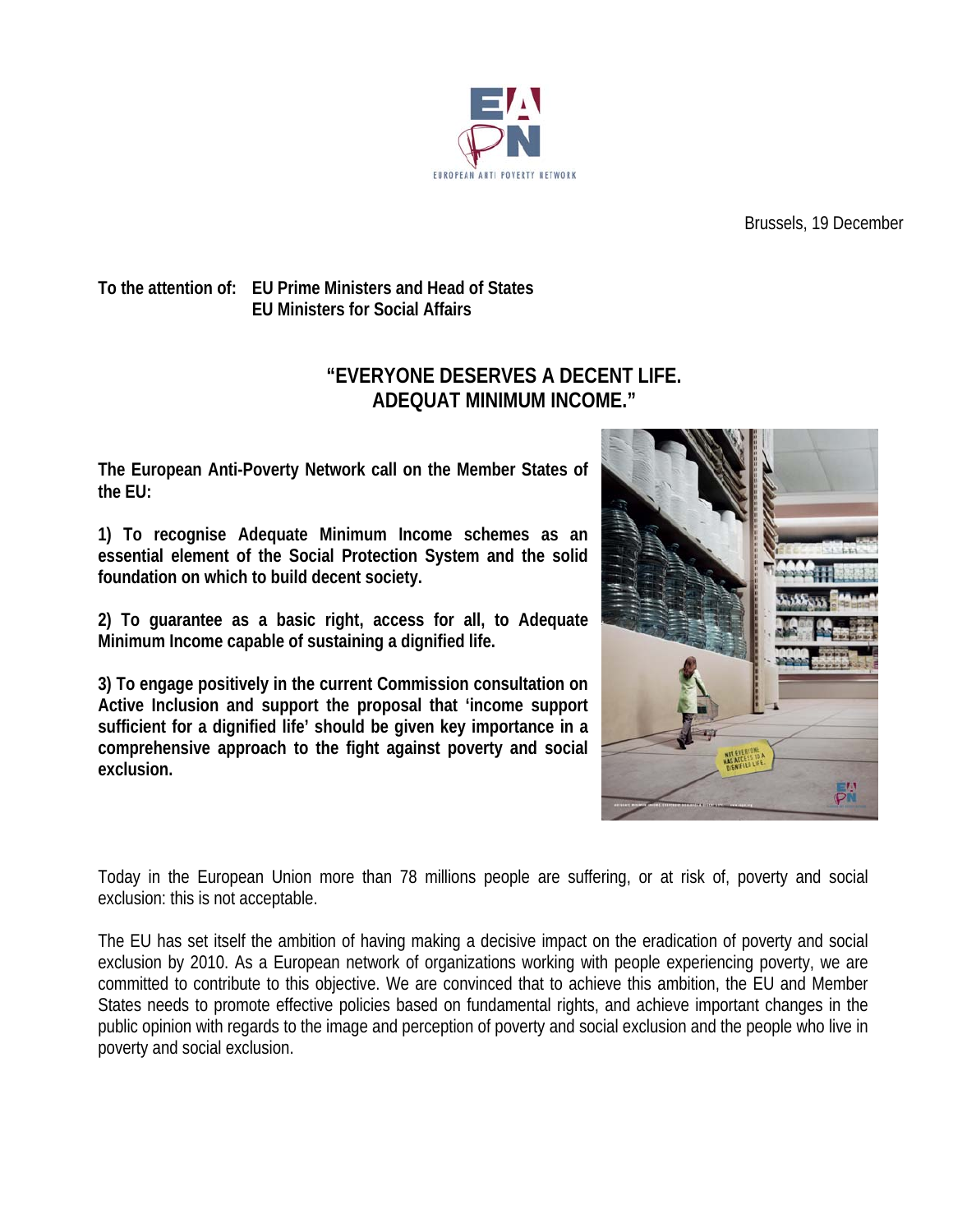

Brussels, 19 December

## **To the attention of: EU Prime Ministers and Head of States EU Ministers for Social Affairs**

## **"EVERYONE DESERVES A DECENT LIFE. ADEQUAT MINIMUM INCOME."**

**The European Anti-Poverty Network call on the Member States of the EU:** 

**1) To recognise Adequate Minimum Income schemes as an essential element of the Social Protection System and the solid foundation on which to build decent society.** 

**2) To guarantee as a basic right, access for all, to Adequate Minimum Income capable of sustaining a dignified life.** 

**3) To engage positively in the current Commission consultation on Active Inclusion and support the proposal that 'income support sufficient for a dignified life' should be given key importance in a comprehensive approach to the fight against poverty and social exclusion.** 



Today in the European Union more than 78 millions people are suffering, or at risk of, poverty and social exclusion: this is not acceptable.

The EU has set itself the ambition of having making a decisive impact on the eradication of poverty and social exclusion by 2010. As a European network of organizations working with people experiencing poverty, we are committed to contribute to this objective. We are convinced that to achieve this ambition, the EU and Member States needs to promote effective policies based on fundamental rights, and achieve important changes in the public opinion with regards to the image and perception of poverty and social exclusion and the people who live in poverty and social exclusion.